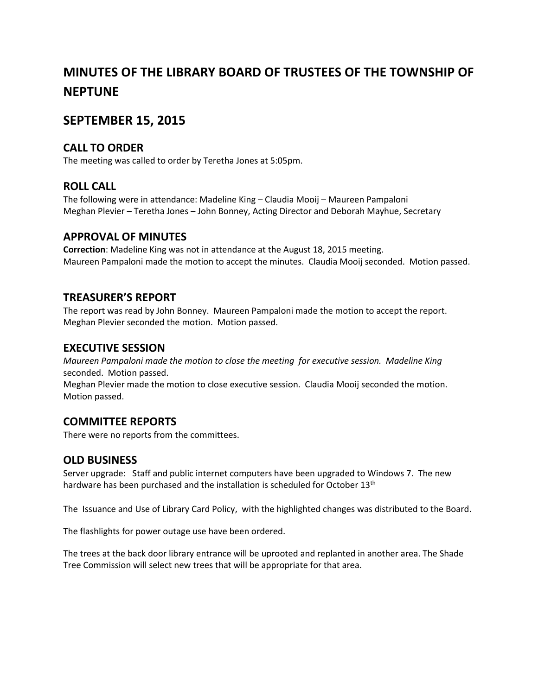# **MINUTES OF THE LIBRARY BOARD OF TRUSTEES OF THE TOWNSHIP OF NEPTUNE**

# **SEPTEMBER 15, 2015**

### **CALL TO ORDER**

The meeting was called to order by Teretha Jones at 5:05pm.

# **ROLL CALL**

The following were in attendance: Madeline King – Claudia Mooij – Maureen Pampaloni Meghan Plevier – Teretha Jones – John Bonney, Acting Director and Deborah Mayhue, Secretary

#### **APPROVAL OF MINUTES**

**Correction**: Madeline King was not in attendance at the August 18, 2015 meeting. Maureen Pampaloni made the motion to accept the minutes. Claudia Mooij seconded. Motion passed.

# **TREASURER'S REPORT**

The report was read by John Bonney. Maureen Pampaloni made the motion to accept the report. Meghan Plevier seconded the motion. Motion passed.

#### **EXECUTIVE SESSION**

*Maureen Pampaloni made the motion to close the meeting for executive session. Madeline King* seconded. Motion passed.

Meghan Plevier made the motion to close executive session. Claudia Mooij seconded the motion. Motion passed.

#### **COMMITTEE REPORTS**

There were no reports from the committees.

#### **OLD BUSINESS**

Server upgrade: Staff and public internet computers have been upgraded to Windows 7. The new hardware has been purchased and the installation is scheduled for October 13<sup>th</sup>

The Issuance and Use of Library Card Policy, with the highlighted changes was distributed to the Board.

The flashlights for power outage use have been ordered.

The trees at the back door library entrance will be uprooted and replanted in another area. The Shade Tree Commission will select new trees that will be appropriate for that area.